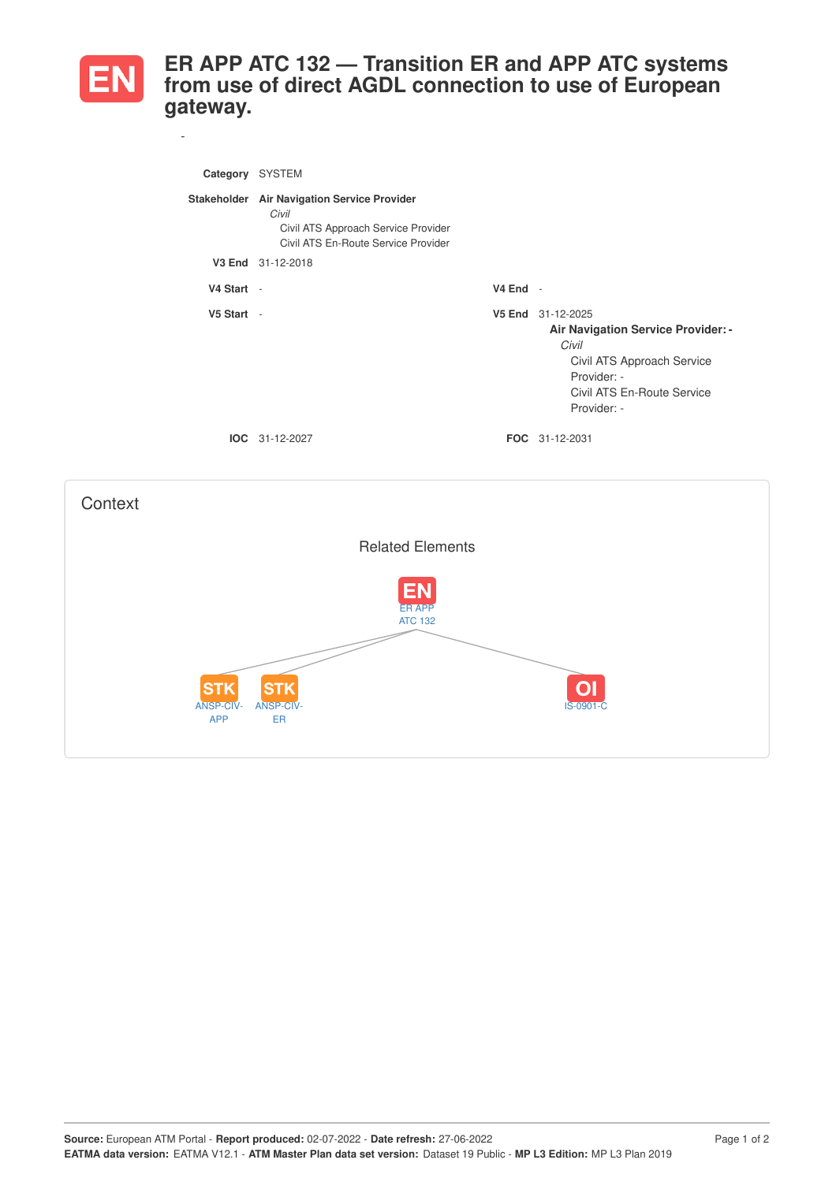

*-*

## **ER APP ATC 132 — Transition ER and APP ATC systems from use of direct AGDL connection to use of European gateway.**

| Category   | <b>SYSTEM</b>                                                                                                                      |            |                                                                                                                                                                   |
|------------|------------------------------------------------------------------------------------------------------------------------------------|------------|-------------------------------------------------------------------------------------------------------------------------------------------------------------------|
|            | Stakeholder Air Navigation Service Provider<br>Civil<br>Civil ATS Approach Service Provider<br>Civil ATS En-Route Service Provider |            |                                                                                                                                                                   |
|            | V3 End 31-12-2018                                                                                                                  |            |                                                                                                                                                                   |
| V4 Start - |                                                                                                                                    | $V4$ End - |                                                                                                                                                                   |
| V5 Start - |                                                                                                                                    |            | V5 End 31-12-2025<br><b>Air Navigation Service Provider: -</b><br>Civil<br>Civil ATS Approach Service<br>Provider: -<br>Civil ATS En-Route Service<br>Provider: - |
|            | <b>IOC</b> 31-12-2027                                                                                                              |            | <b>FOC</b> 31-12-2031                                                                                                                                             |